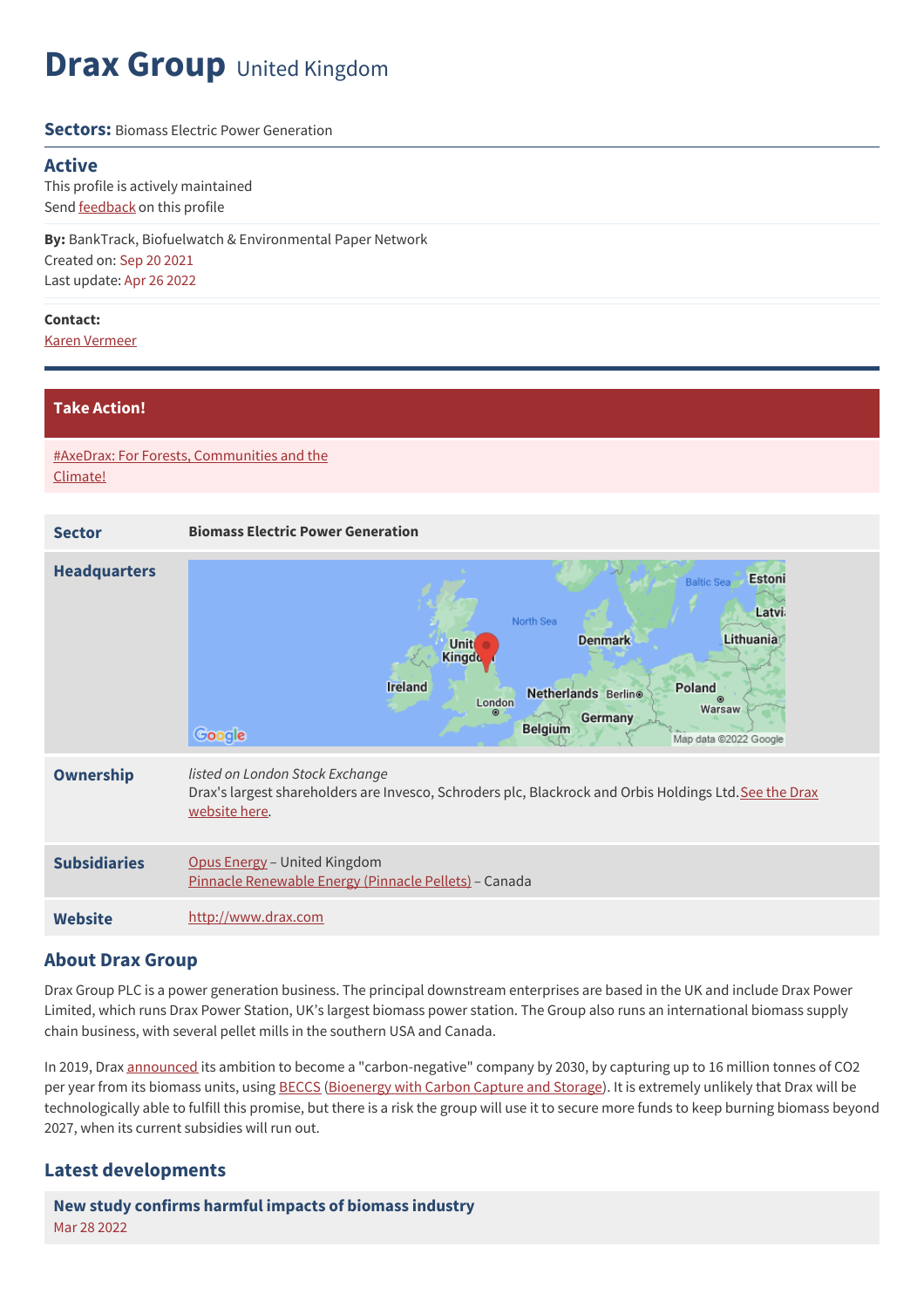## **Drax Group** United Kingdom

#### **Sectors:** Biomass Electric Power Generation

### **Active**

This profile is actively maintained Send **[feedback](https://www.banktrack.org/feedback/companyprofile/drax_group)** on this profile

**By:** BankTrack, Biofuelwatch & Environmental Paper Network Created on: Sep 20 2021 Last update: Apr 26 2022

#### **Contact:**

Karen [Vermeer](mailto:karen@environmentalpaper.org)

### **Take Action!**

#AxeDrax: For Forests, [Communities](https://www.biofuelwatch.org.uk/axedrax-campaign/) and the Climate!

| <b>Sector</b>       | <b>Biomass Electric Power Generation</b>                                                                                                                                                                                                                          |
|---------------------|-------------------------------------------------------------------------------------------------------------------------------------------------------------------------------------------------------------------------------------------------------------------|
| <b>Headquarters</b> | <b>Estoni</b><br><b>Baltic Sea</b><br><b>Latvi</b><br>North Sea<br>Lithuania<br><b>Denmark</b><br>Unit<br><b>Kingdo</b><br>Ireland<br>Poland<br>Netherlands Berlino<br>⋒<br>London<br>Warsaw<br>⊛<br>Germany<br><b>Belgium</b><br>Google<br>Map data @2022 Google |
| <b>Ownership</b>    | listed on London Stock Exchange<br>Drax's largest shareholders are Invesco, Schroders plc, Blackrock and Orbis Holdings Ltd. See the Drax<br>website here.                                                                                                        |
| <b>Subsidiaries</b> | Opus Energy - United Kingdom<br>Pinnacle Renewable Energy (Pinnacle Pellets) - Canada                                                                                                                                                                             |
| <b>Website</b>      | http://www.drax.com                                                                                                                                                                                                                                               |

### **About Drax Group**

Drax Group PLC is a power generation business. The principal downstream enterprises are based in the UK and include Drax Power Limited, which runs Drax Power Station, UK's largest biomass power station. The Group also runs an international biomass supply chain business, with several pellet mills in the southern USA and Canada.

In 2019, Drax [announced](https://www.drax.com/press_release/drax-sets-world-first-ambition-to-become-carbon-negative-by-2030/) its ambition to become a "carbon-negative" company by 2030, by capturing up to 16 million tonnes of CO2 per year from its biomass units, using [BECCS](https://www.geoengineeringmonitor.org/2021/04/bio-energy-with-carbon-capture-and-storage-beccs/) ([Bioenergy](https://www.geoengineeringmonitor.org/2021/04/bio-energy-with-carbon-capture-and-storage-beccs/) with Carbon Capture and Storage). It is extremely unlikely that Drax will be technologically able to fulfill this promise, but there is a risk the group will use it to secure more funds to keep burning biomass beyond 2027, when its current subsidies will run out.

### **Latest developments**

**New study [confirms](javascript:void(0)) harmful impacts of biomass industry** Mar 28 2022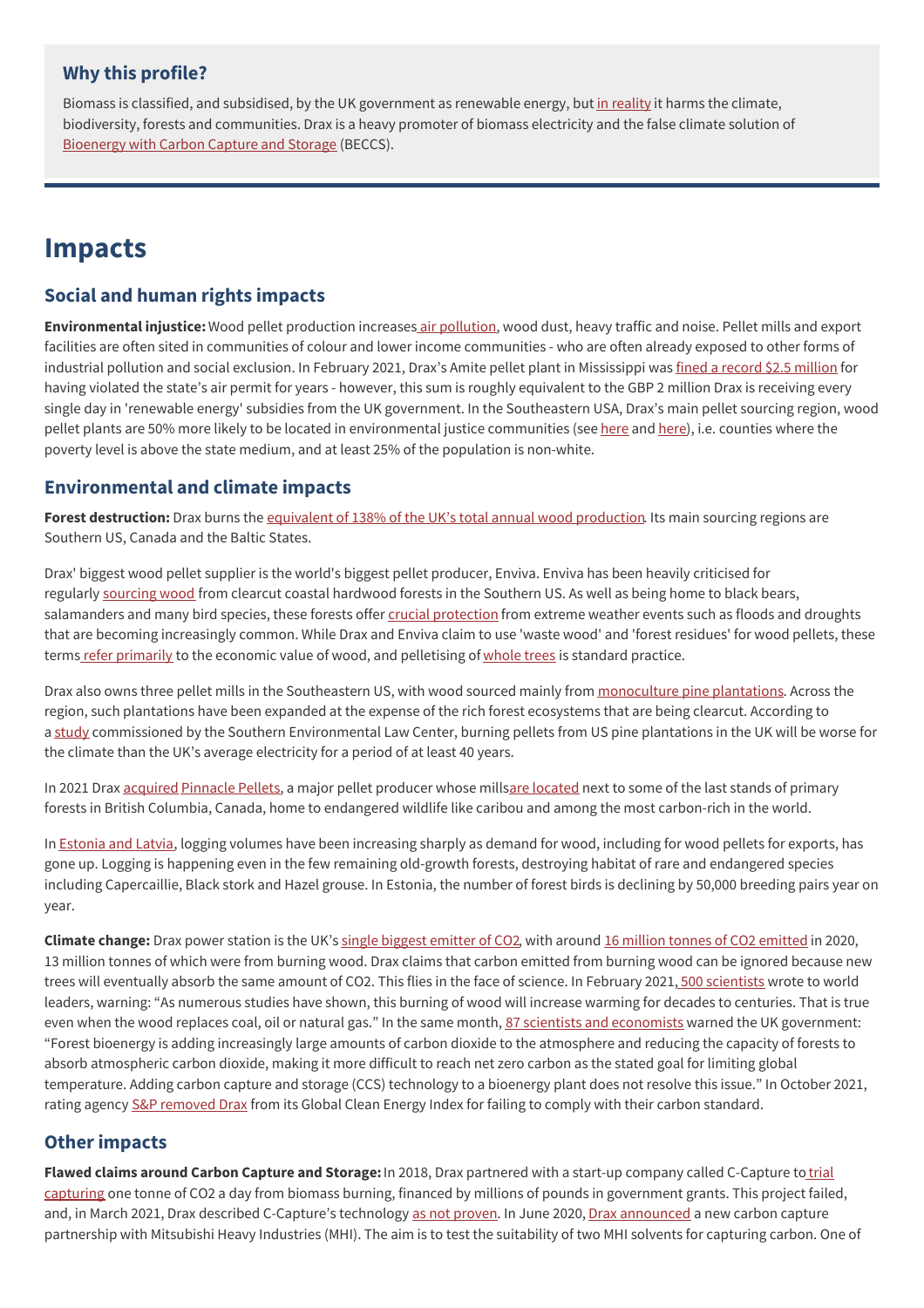### **Why this profile?**

Biomass is classified, and subsidised, by the UK government as renewable energy, but in [reality](https://environmentalpaper.org/the-biomass-delusion/) it harms the climate, biodiversity, forests and communities. Drax is a heavy promoter of biomass electricity and the false climate solution of [Bioenergy](https://www.geoengineeringmonitor.org/2021/04/bio-energy-with-carbon-capture-and-storage-beccs/) with Carbon Capture and Storage (BECCS).

### **Impacts**

### **Social and human rights impacts**

**Environmental injustice:**Wood pellet production increases air [pollution,](https://www.environmentalintegrity.org/wp-content/uploads/2017/02/Biomass-Report.pdf) wood dust, heavy traffic and noise. Pellet mills and export facilities are often sited in communities of colour and lower income communities - who are often already exposed to other forms of industrial pollution and social exclusion. In February 2021, Drax's Amite pellet plant in Mississippi was fined a record \$2.5 [million](https://environmentalintegrity.org/news/small-mississippi-town-wood-pellet-biomass-fine/) for having violated the state's air permit for years - however, this sum is roughly equivalent to the GBP 2 million Drax is receiving every single day in 'renewable energy' subsidies from the UK government. In the Southeastern USA, Drax's main pellet sourcing region, wood pellet plants are 50% more likely to be located in environmental justice communities (see [here](https://edition.cnn.com/videos/us/2021/07/07/american-south-biomass-energy-mg-dp-nws-orig.cnn) and here), i.e. counties where the poverty level is above the state medium, and at least 25% of the population is non-white.

### **Environmental and climate impacts**

Forest destruction: Drax burns the equivalent of 138% of the UK's total annual wood [production](https://www.biofuelwatch.org.uk/axedrax-campaign/). Its main sourcing regions are Southern US, Canada and the Baltic States.

Drax' biggest wood pellet supplier is the world's biggest pellet producer, Enviva. Enviva has been heavily criticised for regularly [sourcing](https://dogwoodalliance.org/wp-content/uploads/2019/07/Biomass-Investigation-Booklet-2019.pdf) wood from clearcut coastal hardwood forests in the Southern US. As well as being home to black bears, salamanders and many bird species, these forests offer crucial [protection](https://www.dogwoodalliance.org/wp-content/uploads/2019/09/Climate-Impacts-of-Industrial-Forest-Practices-in-NC-web.pdf) from extreme weather events such as floods and droughts that are becoming increasingly common. While Drax and Enviva claim to use 'waste wood' and 'forest residues' for wood pellets, these terms refer [primarily](https://www.biofuelwatch.org.uk/2020/residues-briefing/) to the economic value of wood, and pelletising of [whole](https://www.dogwoodalliance.org/our-work/wood-pellet-biomass/where-are-biomass-companies-getting-their-wood/) trees is standard practice.

Drax also owns three pellet mills in the Southeastern US, with wood sourced mainly from [monoculture](https://www.dogwoodalliance.org/2019/02/real-vs-fake-forests/) pine plantations. Across the region, such plantations have been expanded at the expense of the rich forest ecosystems that are being clearcut. According to a [study](https://www.southernenvironment.org/wp-content/uploads/legacy/publications/Biomass_Factsheet_0719_F_Pgs.pdf) commissioned by the Southern Environmental Law Center, burning pellets from US pine plantations in the UK will be worse for the climate than the UK's average electricity for a period of at least 40 years.

In 2021 Drax [acquired](https://www.nrdc.org/experts/elly-pepper/drax-purchase-would-implicate-united-kingdom-loss-canadian-forests) [Pinnacle](https://www.stand.earth/latest/forest-conservation/forests-and-wood-pellets/drax-dont-burn-canada%25E2%2580%2599s-old-growth-forests) Pellets, a major pellet producer whose millsare [located](https://www.stand.earth/latest/forest-conservation/forests-and-wood-pellets/new-investigation-uk%25E2%2580%2599s-drax-bid-buy-pinnacle) next to some of the last stands of primary forests in British Columbia, Canada, home to endangered wildlife like caribou and among the most carbon-rich in the world.

In [Estonia](https://elfond.ee/biomassreport) and Latvia, logging volumes have been increasing sharply as demand for wood, including for wood pellets for exports, has gone up. Logging is happening even in the few remaining old-growth forests, destroying habitat of rare and endangered species including Capercaillie, Black stork and Hazel grouse. In Estonia, the number of forest birds is declining by 50,000 breeding pairs year on year.

**Climate change:** Drax power station is the UK's single biggest [emitter](https://ember-climate.org/commentary/2021/10/08/uk-biomass-emits-more-co2-than-coal/) of CO2, with around 16 million tonnes of CO2 [emitted](https://www.drax.com/wp-content/uploads/2021/03/Drax_AR2020.pdf) in 2020, 13 million tonnes of which were from burning wood. Drax claims that carbon emitted from burning wood can be ignored because new trees will eventually absorb the same amount of CO2. This flies in the face of science. In February 2021, 500 [scientists](https://www.dropbox.com/s/hdmmcnd0d1d2lq5/Scientist%20Letter%20to%20Biden%252C%20von%20der%20Leyen%252C%20Michel%252C%20Suga%20%2526%20Moon%20%20Re.%20Forest%20Biomass%20(February%2011%252C%202021).pdf?dl=0) wrote to world leaders, warning: "As numerous studies have shown, this burning of wood will increase warming for decades to centuries. That is true even when the wood replaces coal, oil or natural gas." In the same month, 87 scientists and [economists](https://www.biofuelwatch.org.uk/wp-content/uploads/BECCS-letter-by-scientists-and-economists-1.pdf) warned the UK government: "Forest bioenergy is adding increasingly large amounts of carbon dioxide to the atmosphere and reducing the capacity of forests to absorb atmospheric carbon dioxide, making it more difficult to reach net zero carbon as the stated goal for limiting global temperature. Adding carbon capture and storage (CCS) technology to a bioenergy plant does not resolve this issue." In October 2021, rating agency S&P [removed](https://www.spglobal.com/spdji/en/documents/clientservices/sp_global_clean_energy_index_october_rebalance_announcement.pdf) Drax from its Global Clean Energy Index for failing to comply with their carbon standard.

### **Other impacts**

**Flawed claims around Carbon Capture and Storage:**In 2018, Drax partnered with a start-up company called C-Capture to trial capturing one tonne of CO2 a day from biomass burning, financed by millions of pounds in [government](https://www.drax.com/press_release/world-first-co2-beccs-ccus/) grants. This project failed, and, in March 2021, Drax described C-Capture's technology as not [proven](https://www.biofuelwatch.org.uk/2021/drax-beccs-response/). In June 2020, Drax [announced](https://www.drax.com/press_release/negative-emissions-pioneer-drax-and-leading-global-carbon-capture-company-mitsubishi-heavy-industries-group-announce-new-beccs-pilot/) a new carbon capture partnership with Mitsubishi Heavy Industries (MHI). The aim is to test the suitability of two MHI solvents for capturing carbon. One of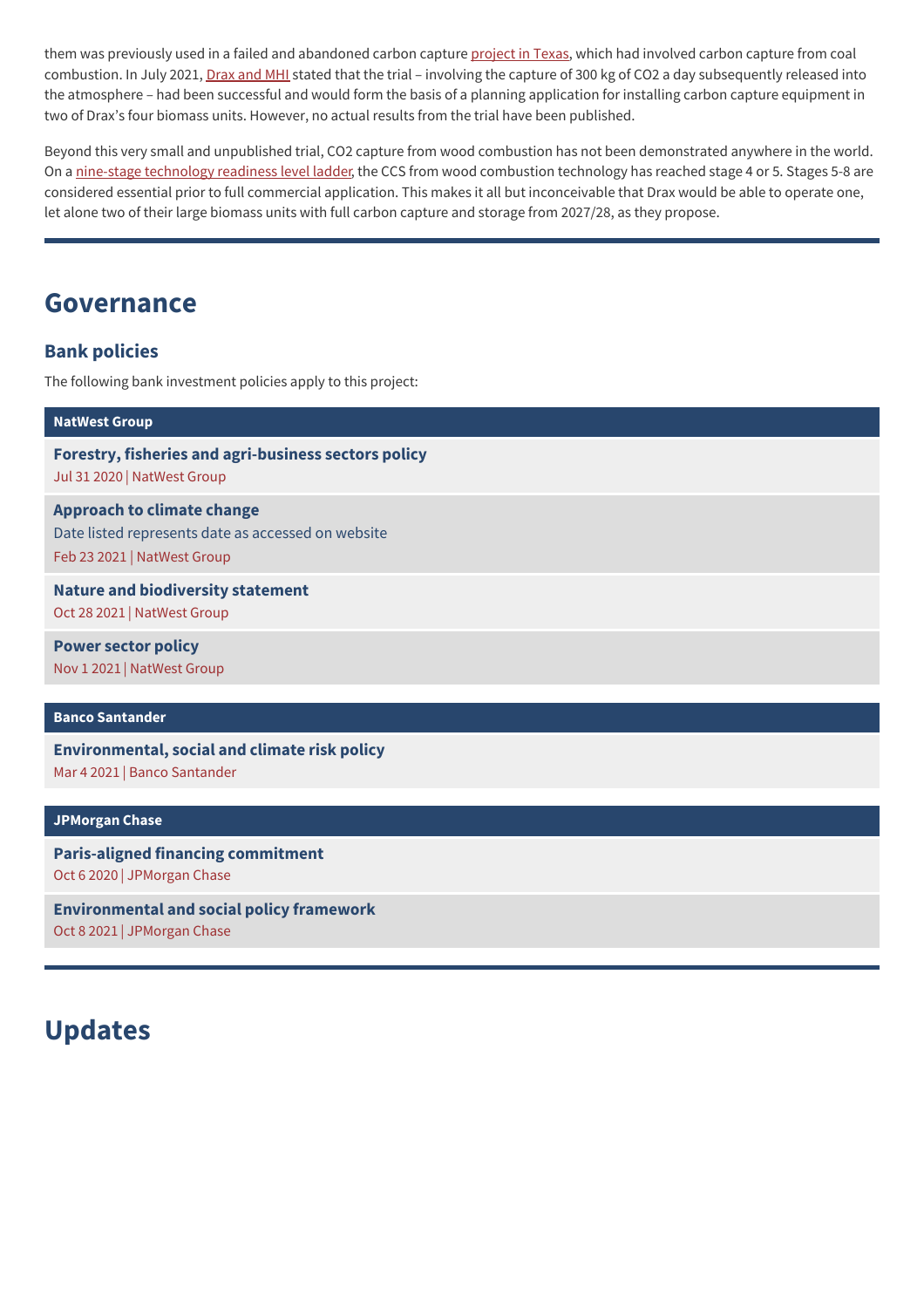them was previously used in a failed and abandoned carbon capture [project](https://ieefa.org/wp-content/uploads/2020/08/Petra-Nova-Mothballing-Post-Mortem_August-2020.pdf) in Texas, which had involved carbon capture from coal combustion. In July 2021, [Drax](https://www.mhi.com/news/210610.html) and MHI stated that the trial – involving the capture of 300 kg of CO2 a day subsequently released into the atmosphere – had been successful and would form the basis of a planning application for installing carbon capture equipment in two of Drax's four biomass units. However, no actual results from the trial have been published.

Beyond this very small and unpublished trial, CO2 capture from wood combustion has not been demonstrated anywhere in the world. On a nine-stage [technology](https://www.cloudwatchhub.eu/exploitation/brief-refresher-technology-readiness-levels-trl) readiness level ladder, the CCS from wood combustion technology has reached stage 4 or 5. Stages 5-8 are considered essential prior to full commercial application. This makes it all but inconceivable that Drax would be able to operate one, let alone two of their large biomass units with full carbon capture and storage from 2027/28, as they propose.

### **Governance**

### **Bank policies**

The following bank investment policies apply to this project:

| <b>NatWest Group</b>                                                                                                   |
|------------------------------------------------------------------------------------------------------------------------|
| Forestry, fisheries and agri-business sectors policy<br>Jul 31 2020   NatWest Group                                    |
| <b>Approach to climate change</b><br>Date listed represents date as accessed on website<br>Feb 23 2021   NatWest Group |
| <b>Nature and biodiversity statement</b><br>Oct 28 2021   NatWest Group                                                |
| <b>Power sector policy</b><br>Nov 1 2021   NatWest Group                                                               |

### **Banco [Santander](https://www.banktrack.org/show/bankprofile/santander)**

**[Environmental,](https://www.banktrack.org/download/environmental_social_and_climate_risk_policy) social and climate risk policy** Mar 4 2021 | Banco Santander

#### **[JPMorgan](https://www.banktrack.org/show/bankprofile/jpmorgan_chase) Chase**

**[Paris-aligned](https://www.jpmorganchase.com/ir/news/2020/adopts-paris-aligned-financing-commitment) financing commitment** Oct 6 2020 | JPMorgan Chase

**[Environmental](https://www.banktrack.org/download/environmental_and_social_policy_framework_10) and social policy framework** Oct 8 2021 | JPMorgan Chase

## **Updates**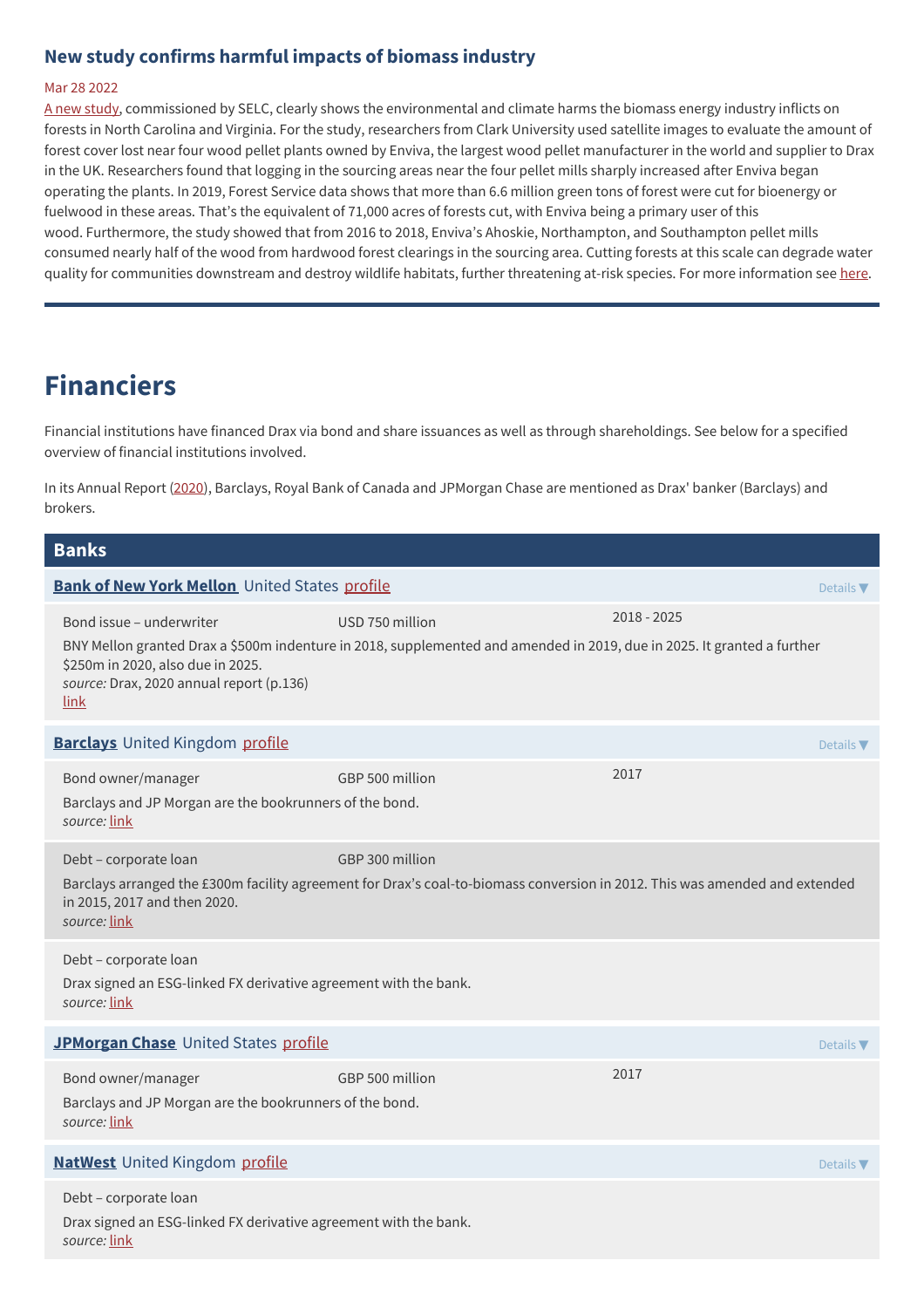### **New study confirms harmful impacts of biomass industry**

#### Mar 28 2022

A new [study](https://www.southernenvironment.org/wp-content/uploads/2022/03/Biomass-White-Page.pdf), commissioned by SELC, clearly shows the environmental and climate harms the biomass energy industry inflicts on forests in North Carolina and Virginia. For the study, researchers from Clark University used satellite images to evaluate the amount of forest cover lost near four wood pellet plants owned by Enviva, the largest wood pellet manufacturer in the world and supplier to Drax in the UK. Researchers found that logging in the sourcing areas near the four pellet mills sharply increased after Enviva began operating the plants. In 2019, Forest Service data shows that more than 6.6 million green tons of forest were cut for bioenergy or fuelwood in these areas. That's the equivalent of 71,000 acres of forests cut, with Enviva being a primary user of this wood. Furthermore, the study showed that from 2016 to 2018, Enviva's Ahoskie, Northampton, and Southampton pellet mills consumed nearly half of the wood from hardwood forest clearings in the sourcing area. Cutting forests at this scale can degrade water quality for communities downstream and destroy wildlife habitats, further threatening at-risk species. For more information see [here](https://www.southernenvironment.org/news/new-study-confirms-harmful-impacts-of-biomass/).

## **Financiers**

Financial institutions have financed Drax via bond and share issuances as well as through shareholdings. See below for a specified overview of financial institutions involved.

In its Annual Report ([2020](http://chrome-extension//efaidnbmnnnibpcajpcglclefindmkaj/viewer.html?pdfurl=https%253A%252F%252Fwww.drax.com%252Fwp-content%252Fuploads%252F2021%252F03%252FDrax_AR2020.pdf&clen=12127458&chunk=true)), Barclays, Royal Bank of Canada and JPMorgan Chase are mentioned as Drax' banker (Barclays) and brokers.

### **Banks Bank of New York [Mellon](https://www.bnymellon.com)** United States [profile](https://www.banktrack.org/bank/bny_mellon) **Details According to According the Details Testing Details <b>Periodic** Bond issue – underwriter USD 750 million 2018 - 2025 BNY Mellon granted Drax a \$500m indenture in 2018, supplemented and amended in 2019, due in 2025. It granted a further \$250m in 2020, also due in 2025. *source:* Drax, 2020 annual report (p.136) [link](https://www.drax.com/wp-content/uploads/2021/03/Drax_AR2020.pdf) **[Barclays](http://www.barclays.com)** United Kingdom [profile](https://www.banktrack.org/bank/barclays) **Details The Details According to Persons** and Details **Persons Details <b>The Details Persons Details Persons Details Persons Details Persons Details Persons Details** Bond owner/manager GBP 500 million 2017 Barclays and JP Morgan are the bookrunners of the bond. *source:* [link](https://www.globalcapital.com/article/28mt352z6xxgvslor39xc/levfin-high-yield-bonds/drax-powers-up-500m-bond-in-busy-sterling-hy-mart) Debt – corporate loan GBP 300 million Barclays arranged the £300m facility agreement for Drax's coal-to-biomass conversion in 2012. This was amended and extended in 2015, 2017 and then 2020. *source:* [link](chrome-extension://efaidnbmnnnibpcajpcglclefindmkaj/viewer.html?pdfurl=https%253A%252F%252Fwww.drax.com%252Fwp-content%252Fuploads%252F2021%252F03%252FDrax_AR2020.pdf&clen=12127458&chunk=true) Debt – corporate loan Drax signed an ESG-linked FX derivative agreement with the bank. *source:* [link](https://www.risk.net/derivatives/7824311/drax-commits-to-esg-linked-fx-derivative-targets-with-uk-banks) **[JPMorgan](http://www.jpmorganchase.com) Chase** United States [profile](https://www.banktrack.org/bank/jpmorgan_chase) **Details The United States And Details The Details <b>The Details The Details T** Bond owner/manager GBP 500 million 2017 Barclays and JP Morgan are the bookrunners of the bond. *source:* [link](https://www.globalcapital.com/article/28mt352z6xxgvslor39xc/levfin-high-yield-bonds/drax-powers-up-500m-bond-in-busy-sterling-hy-mart) **[NatWest](https://www.natwestgroup.com/)** United Kingdom [profile](https://www.banktrack.org/bank/natwest) **Details According to Profile Details According to Petails <b>According to Petails T** Debt – corporate loan Drax signed an ESG-linked FX derivative agreement with the bank. *source:* [link](https://www.risk.net/derivatives/7824311/drax-commits-to-esg-linked-fx-derivative-targets-with-uk-banks)